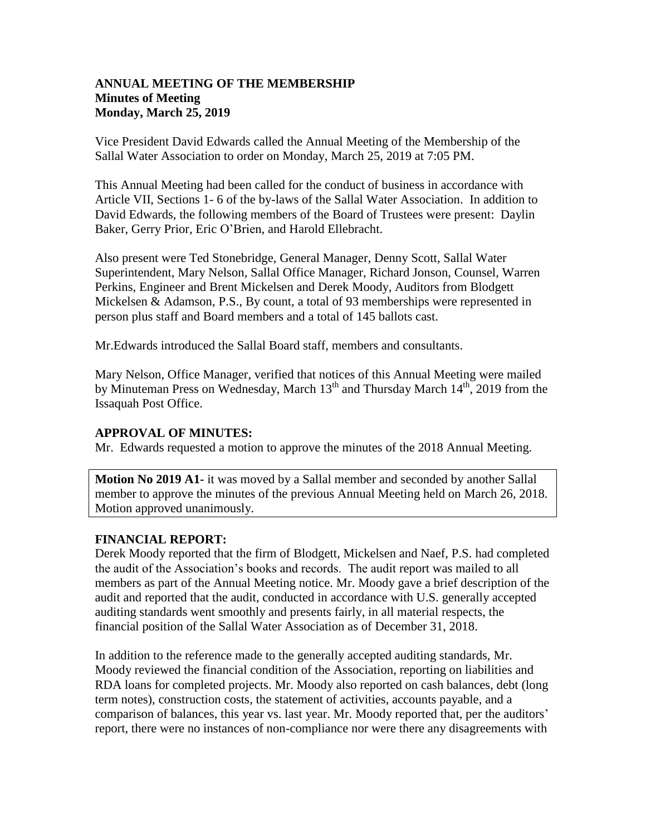## **ANNUAL MEETING OF THE MEMBERSHIP Minutes of Meeting Monday, March 25, 2019**

Vice President David Edwards called the Annual Meeting of the Membership of the Sallal Water Association to order on Monday, March 25, 2019 at 7:05 PM.

This Annual Meeting had been called for the conduct of business in accordance with Article VII, Sections 1- 6 of the by-laws of the Sallal Water Association. In addition to David Edwards, the following members of the Board of Trustees were present: Daylin Baker, Gerry Prior, Eric O'Brien, and Harold Ellebracht.

Also present were Ted Stonebridge, General Manager, Denny Scott, Sallal Water Superintendent, Mary Nelson, Sallal Office Manager, Richard Jonson, Counsel, Warren Perkins, Engineer and Brent Mickelsen and Derek Moody, Auditors from Blodgett Mickelsen & Adamson, P.S., By count, a total of 93 memberships were represented in person plus staff and Board members and a total of 145 ballots cast.

Mr.Edwards introduced the Sallal Board staff, members and consultants.

Mary Nelson, Office Manager, verified that notices of this Annual Meeting were mailed by Minuteman Press on Wednesday, March  $13<sup>th</sup>$  and Thursday March  $14<sup>th</sup>$ , 2019 from the Issaquah Post Office.

### **APPROVAL OF MINUTES:**

Mr. Edwards requested a motion to approve the minutes of the 2018 Annual Meeting.

**Motion No 2019 A1-** it was moved by a Sallal member and seconded by another Sallal member to approve the minutes of the previous Annual Meeting held on March 26, 2018. Motion approved unanimously.

### **FINANCIAL REPORT:**

Derek Moody reported that the firm of Blodgett, Mickelsen and Naef, P.S. had completed the audit of the Association's books and records. The audit report was mailed to all members as part of the Annual Meeting notice. Mr. Moody gave a brief description of the audit and reported that the audit, conducted in accordance with U.S. generally accepted auditing standards went smoothly and presents fairly, in all material respects, the financial position of the Sallal Water Association as of December 31, 2018.

In addition to the reference made to the generally accepted auditing standards, Mr. Moody reviewed the financial condition of the Association, reporting on liabilities and RDA loans for completed projects. Mr. Moody also reported on cash balances, debt (long term notes), construction costs, the statement of activities, accounts payable, and a comparison of balances, this year vs. last year. Mr. Moody reported that, per the auditors' report, there were no instances of non-compliance nor were there any disagreements with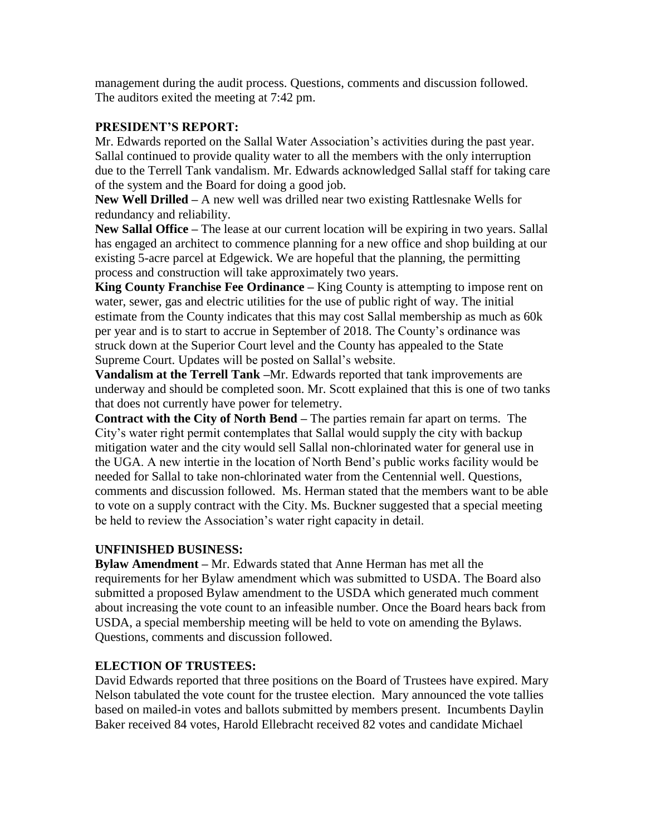management during the audit process. Questions, comments and discussion followed. The auditors exited the meeting at 7:42 pm.

## **PRESIDENT'S REPORT:**

Mr. Edwards reported on the Sallal Water Association's activities during the past year. Sallal continued to provide quality water to all the members with the only interruption due to the Terrell Tank vandalism. Mr. Edwards acknowledged Sallal staff for taking care of the system and the Board for doing a good job.

**New Well Drilled –** A new well was drilled near two existing Rattlesnake Wells for redundancy and reliability.

**New Sallal Office –** The lease at our current location will be expiring in two years. Sallal has engaged an architect to commence planning for a new office and shop building at our existing 5-acre parcel at Edgewick. We are hopeful that the planning, the permitting process and construction will take approximately two years.

**King County Franchise Fee Ordinance –** King County is attempting to impose rent on water, sewer, gas and electric utilities for the use of public right of way. The initial estimate from the County indicates that this may cost Sallal membership as much as 60k per year and is to start to accrue in September of 2018. The County's ordinance was struck down at the Superior Court level and the County has appealed to the State Supreme Court. Updates will be posted on Sallal's website.

**Vandalism at the Terrell Tank –**Mr. Edwards reported that tank improvements are underway and should be completed soon. Mr. Scott explained that this is one of two tanks that does not currently have power for telemetry.

**Contract with the City of North Bend –** The parties remain far apart on terms. The City's water right permit contemplates that Sallal would supply the city with backup mitigation water and the city would sell Sallal non-chlorinated water for general use in the UGA. A new intertie in the location of North Bend's public works facility would be needed for Sallal to take non-chlorinated water from the Centennial well. Questions, comments and discussion followed. Ms. Herman stated that the members want to be able to vote on a supply contract with the City. Ms. Buckner suggested that a special meeting be held to review the Association's water right capacity in detail.

# **UNFINISHED BUSINESS:**

**Bylaw Amendment –** Mr. Edwards stated that Anne Herman has met all the requirements for her Bylaw amendment which was submitted to USDA. The Board also submitted a proposed Bylaw amendment to the USDA which generated much comment about increasing the vote count to an infeasible number. Once the Board hears back from USDA, a special membership meeting will be held to vote on amending the Bylaws. Questions, comments and discussion followed.

# **ELECTION OF TRUSTEES:**

David Edwards reported that three positions on the Board of Trustees have expired. Mary Nelson tabulated the vote count for the trustee election. Mary announced the vote tallies based on mailed-in votes and ballots submitted by members present. Incumbents Daylin Baker received 84 votes, Harold Ellebracht received 82 votes and candidate Michael